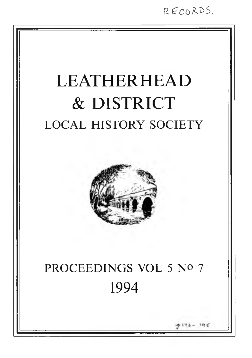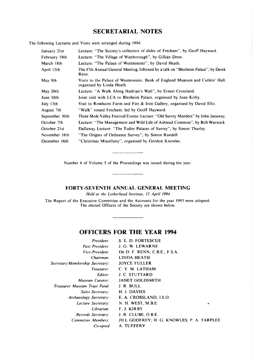# **SECRETARIAL NOTES**

The following Lectures and Visits were arranged during 1994:

| January 21st   | Lecture: "The Society's collection of slides of Fetcham", by Geoff Hayward.                                 |
|----------------|-------------------------------------------------------------------------------------------------------------|
| February 18th  | Lecture: "The Village of Wanborough", by Gillian Drew.                                                      |
| March 18th     | Lecture: "The Palace of Westminster", by David Heath.                                                       |
| April 15th     | The 47th Annual General Meeting, followed by a talk on "Blenheim Palace", by Derek<br>Renn.                 |
| May 9th        | Visits to the Palace of Westminster, Bank of England Museum and Cutlers' Hall,<br>organised by Linda Heath. |
| May 20th       | Lecture: "A Walk Along Hadrian's Wall", by Ernest Crossland.                                                |
| June 18th      | Joint visit with LCA to Blenheim Palace, organised by Joan Kirby.                                           |
| July 13th      | Visit to Rowhurst Farm and Fire & Iron Gallery, organised by David Ellis.                                   |
| August 7th     | "Walk" round Fetcham, led by Geoff Hayward.                                                                 |
| September 30th | Three Mole Valley Festival Events: Lecture: "Old Surrey Murders" by John Janaway.                           |
| October 7th    | Lecture: "The Management and Wild Life of Ashtead Common", by Bob Warnock.                                  |
| October 21st   | Dallaway Lecture: "The Tudor Palaces of Surrey", by Simon Thurley.                                          |
| November 18th  | "The Origins of Ordnance Survey", by Simon Randell.                                                         |
| December 16th  | "Christmas Miscellany", organised by Gordon Knowles.                                                        |

Number 6 of Volume 5 of the Proceedings was issued during the year.

**FORTY-SEVENTH ANNUAL GENERAL MEETING**

*Held at the Letherhead Institute, 15 April 1994* 

The Report of the Executive Committee and the Accounts for the year 1993 were adopted. The elected Officers of the Society are shown below.

# **OFFICERS FOR THE YEAR 1994**

| S. E. D. FORTESCUE            |                                            |
|-------------------------------|--------------------------------------------|
| J. G. W. LEWARNE              |                                            |
| DR D. F. RENN. C.B.E., F.S.A. |                                            |
| LINDA HEATH                   |                                            |
| <b>JOYCE FULLER</b>           |                                            |
| C. V. M. LATHAM               |                                            |
| <b>J. C. STUTTARD</b>         |                                            |
| <b>JANET GOLDSMITH</b>        |                                            |
| J. R. BULL                    |                                            |
| H. J. DAVIES                  |                                            |
| E. A. CROSSLAND, I.S.O.       |                                            |
| N. H. WEST, M.B.E.            |                                            |
| F. J. KIRBY                   |                                            |
| J. R. CLUBE, O.B.E.           |                                            |
|                               |                                            |
| A. TUFFERY                    |                                            |
|                               | JILL GODFREY; H. G. KNOWLES; P. A. TARPLEE |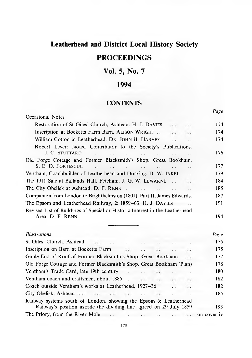# **Leatherhead and District Local History Society**

# **PROCEEDINGS**

# **Vol. 5, No. 7**

# **1994**

# **CONTENTS**

*Page*

| Occasional Notes                                                                                                                                                                        | $\ldots$ |  |  |
|-----------------------------------------------------------------------------------------------------------------------------------------------------------------------------------------|----------|--|--|
| Restoration of St Giles' Church, Ashtead. H. J. DAVIES<br>$\cdots$                                                                                                                      |          |  |  |
| Inscription at Bocketts Farm Barn. ALISON WRIGHT<br>V.<br>. .                                                                                                                           |          |  |  |
| William Cotton in Leatherhead. DR. JOHN H. HARVEY<br>$\ddot{\phantom{a}}$<br>$\ddot{\phantom{a}}$                                                                                       | 174      |  |  |
| Robert Lever: Noted Contributor to the Society's Publications.<br>J. C. STUTTARD<br>the common of the common common and the common common common and the common common<br>$\sim$ $\sim$ | 176      |  |  |
| Old Forge Cottage and Former Blacksmith's Shop, Great Bookham.<br>S. E. D. FORTESCUE                                                                                                    | 177      |  |  |
| $\ddot{\phantom{a}}$<br>$\mathbf{r}$<br>$\mathcal{L}(\mathcal{L})$ .                                                                                                                    | 179      |  |  |
| Ventham, Coachbuilder of Leatherhead and Dorking. D. W. INKEL<br>$\ddot{\phantom{0}}$                                                                                                   |          |  |  |
| The 1911 Sale at Ballands Hall, Fetcham. J. G. W. LEWARNE<br>٠.                                                                                                                         | 184      |  |  |
| The City Obelisk at Ashtead. D. F. RENN<br>$\mathbb{R}^2$<br>$\mathbb{R}^2$<br>$\ddotsc$                                                                                                | 185      |  |  |
| Companion from London to Brighthelmston (1801), Part II, James Edwards.                                                                                                                 |          |  |  |
| The Epsom and Leatherhead Railway, 2: 1859–63. H. J. DAVIES                                                                                                                             | 191      |  |  |
| Revised List of Buildings of Special or Historic Interest in the Leatherhead                                                                                                            |          |  |  |
| Area. D. F. RENN                                                                                                                                                                        | 194      |  |  |
| Illustrations                                                                                                                                                                           | Page     |  |  |
| St Giles' Church, Ashtead<br>$-2.7$<br>$\sim$ $\sim$                                                                                                                                    | 175      |  |  |
| Inscription on Barn at Bocketts Farm<br>$\cdot$                                                                                                                                         | 175      |  |  |
| Gable End of Roof of Former Blacksmith's Shop, Great Bookham<br>. .                                                                                                                     | 177      |  |  |
| Old Forge Cottage and Former Blacksmith's Shop, Great Bookham (Plan)                                                                                                                    | 178      |  |  |
| Ventham's Trade Card, late 19th century<br>$\sim 10^{-11}$<br>$\ldots$                                                                                                                  | 180      |  |  |

Ventham coach and craftsmen, about  $1885$  ... 182 Coach outside V entham 's w orks a t L eatherhead, 1927-36 .. 182 City Obelisk, A shtead .. .. .. 185 Railway systems south of London, showing the Epsom & Leatherhead Railway's position astride the dividing line agreed on 29 July 1859 193 The Priory, from the R iver M ole .. .. .. .. .. on cover iv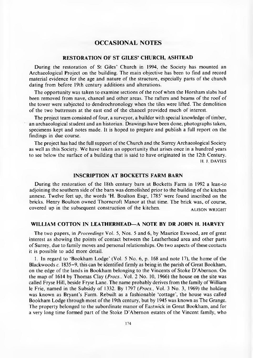## **OCCASIONAL NOTES**

#### **RESTORATION OF ST GILES' CHURCH, ASHTEAD**

During the restoration of St Giles' Church in 1994, the Society has mounted an Archaeological Project on the building. The main objective has been to find and record material evidence for the age and nature of the structure, especially parts of the church dating from before 19th century additions and alterations.

The opportunity was taken to examine sections of the roof when the Horsham slabs had been removed from nave, chancel and other areas. The rafters and beams of the roof of the tower were subjected to dendrochronology when the tiles were lifted. The demolition o f the two buttresses at the east end of the chancel provided much of interest.

The project team consisted of four, a surveyor, a builder with special knowledge of timber, an archaeological student and an historian. Drawings have been done, photographs taken, specimens kept and notes made. It is hoped to prepare and publish a full report on the findings in due course.

The project has had the full support of the Church and the Surrey Archaeological Society as well as this Society. We have taken an opportunity that arises once in a hundred years to see below the surface of a building that is said to have originated in the 12th Century. H. J. DAVIES

#### **INSCRIPTION AT BOCKETTS FARM BARN**

During the restoration of the 18th century barn at Bocketts Farm in 1992 a lean-to adjoining the southern side of the barn was demolished prior to the building of the kitchen annexe. Twelve feet up, the words 'H. Boulton Esqr, 1785' were found inscribed on the bricks. Henry Boulton owned Thorncroft Manor at that time. The brick was, of course, covered up in the subsequent construction of the kitchen. ALISON WRIGHT

#### **WILLIAM COTTON IN LEATHERHEAD— A NOTE BY DR JOHN H. HARVEY**

The two papers, in *Proceedings* Vol. 5, Nos. 5 and 6, by Maurice Exwood, are of great interest as showing the points of contact between the Leatherhead area and other parts o f Surrey, due to family moves and personal relationships. On two aspects of these contacts it is possible to add more detail.

1. In regard to 'B ookham Lodge' (Vol. 5 No. 6, p. 168 and note 17), the home of the Blackwoods *c.* 1835–9, this can be identified firmly as being in the parish of Great Bookham, on the edge of the lands in Bookham belonging to the Vincents of Stoke D 'Abernon. On the map of 1614 by Thomas Clay (*Procs.*, Vol. 2 No. 10, 1966) the house on the site was called Fryse Hill, beside Fryse Lane. The name probably derives from the family of William le Frie, named in the Subsidy of 1332. By 1797 *(Procs.,* Vol. 3 No. 3, 1969) the holding was known as Bryant's Farm. Rebuilt as a fashionable 'cottage', the house was called Bookham Lodge through most of the 19th century, but by 1945 was known as The Grange. The property belonged to the subordinate manor of Eastwick in Great Bookham, and for a very long time formed part of the Stoke D 'A bernon estates of the Vincent family, who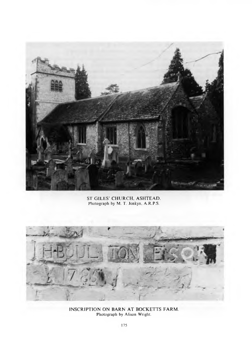

ST GILES' CHURCH, ASHTEAD. Photograph by M. T. Jenkyn, A .R.P.S.



INSCRIPTION ON BARN AT BOCKETTS FARM. Photograph by Alison Wright.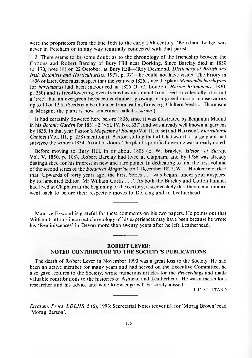were the proprietors from the late 16th to the early 19th century. 'Bookham Lodge' was never in Fetcham or in any way tenurially connected with that parish.

2. There seems to be some doubt as to the chronology of the friendship between the Cottons and Robert Barclay of Bury Hill near Dorking. Since Barclay died in 1830 (p. 170, note 18) on 22 October, at Bury Hill—(Ray Desmond, *Dictionary of British and Irish Botanists and Horticulturists,* 1977, p. 37)—he could not have visited The Priory in 1836 or later. One must suspect that the year was 1826, since the plant *Maurandia barclayana* (or *harclaiana*) had been introduced in 1825 (J. C. Loudon, *Hortus Britannicus,* 1830, p. 250) and is free-flowering, even treated as an annual from seed. Incidentally, it is not a 'tree', but an evergreen herbaceous climber, growing in a greenhouse or conservatory up to 10 or 12 ft. (Seeds can be obtained from leading firms, e.g. Chiltern Seeds or Thompson & M organ; the plant is now sometimes called *Asarina.)*

It had certainly flowered here before 1836, since it was illustrated by Benjamin Maund in his *Botanic Garden* for 1831-2 (Vol. IV, No. 337), and was already well known in gardens by 1835. In that year Paxton's *Magazine of Botany* (Vol. II, p. 36) and Harrison's *Floricultural Cabinet* (Vol. III, p. 258) mention it, Paxton stating that at Chatsworth a large plant had survived the winter (1834–5) out of doors. The plant's prolific flowering was already noted.

Before moving to Bury Hill, in or about 1805 (E. W. Brayley, *History of Surrey*, Vol. V, 1850, p. 108), R obert Barclay had lived at Clapham , and by 1786 was already distinguished for his interest in new and rare plants. In dedicating to him the first volume of the second series of the *Botanical Magazine* on 1 December 1827, W. J. Hooker remarked that 'U pwards of forty years ago, the First Series . . . was begun, under your auspices, by its lamented Editor, Mr William Curtis . . . . As both the Barclay and Cotton families had lived at Clapham at the beginning of the century, it seems likely that their acquaintance went back to before their respective moves to Dorking and to Leatherhead.

Maurice Exwood is grateful for these comments on his two papers. He points out that William Cotton's incorrect chronology of his experiences may have been because he wrote his 'Reminiscences' in Devon more than twenty years after he left Leatherhead.

#### **ROBERT LEVER: NOTED CONTRIBUTOR TO THE SOCIETY'S PUBLICATIONS**

The death of Robert Lever in November 1993 was a great loss to the Society. He had been an active mem ber for many years and had served on the Executive Committee; he also gave lectures to the Society, wrote num erous articles for the *Proceedings* and made valuable contributions to the histories of A shtead and Leatherhead. He was a meticulous researcher and his advice and wide knowledge will be sorely missed.

J. C. STUTTARD

*Erratum: Procs. LDLHS, 5* (6), 1993: Secretarial Notes (cover ii), for 'Morag Brown' read 'Morag Barton'.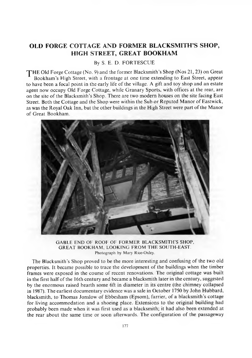# <span id="page-6-0"></span>**OLD FORGE COTTAGE AND FORMER BLACKSMITH'S SHOP, HIGH STREET, GREAT BOOKHAM**

By S. E. D. FORTESCUE

THE Old Forge Cottage (No. 9) and the former Blacksmith's Shop (Nos 21, 23) on Great Bookham's High Street, with a frontage at one time extending to East Street, appear to have been a focal point in the early life of the village. A gift and toy shop and an estate agent now occupy Old Forge Cottage, while Granary Sports, with offices at the rear, are on the site of the Blacksmith's Shop. There are two modern houses on the site facing East Street. Both the Cottage and the Shop were within the Sub or Reputed Manor of Eastwick, as was the Royal Oak Inn, but the other buildings in the High Street were part of the Manor of Great Bookham.



GABLE END OF ROOF OF FORMER BLACKSMITH'S SHOP, GREAT BOOKHAM, LOOKING FROM THE SOUTH-EAST. Photograph by Mary Rice-Oxley.

The Blacksmith's Shop proved to be the more interesting and confusing of the two old properties. It became possible to trace the development of the buildings when the timber frames were exposed in the course of recent renovations. The original cottage was built in the first half of the 16th century and became a blacksmith later in the century, suggested by the enormous raised hearth some 6ft in diameter in its centre (the chimney collapsed in 1987). The earliest documentary evidence was a sale in October 1750 by John Hubbard, blacksmith, to Thomas Jonslow of Ebbesham (Epsom), farrier, of a blacksmith's cottage for living accommodation and a shoeing place. Extensions to the original building had probably been made when it was first used as a blacksmith; it had also been extended at the rear about the same time or soon afterwards. The configuration of the passageway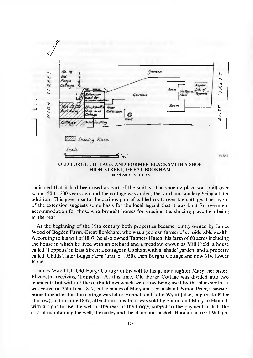

Based on a 1911 Plan.

indicated that it had been used as part of the smithy. The shoeing place was built over some 150 to 200 years ago and the cottage was added, the yard and scullery being a later addition. This gives rise to the curious pair of gabled roofs over the cottage. The layout of the extension suggests some basis for the local legend that it was built for overnight accommodation for those who brought horses for shoeing, the shoeing place then being at the rear.

At the beginning of the 19th century both properties became jointly owned by James Wood of Bogden Farm, Great Bookham, who was a yeoman farmer of considerable wealth. According to his will of 1807, he also owned Tanners Hatch, his farm of 60 acres including the house in which he lived with an orchard and a meadow known as Mill Field; a house called 'Toppetts' in East Street; a cottage in Cobham with a 'shade' garden; and a property called 'Childs', later Buggs Farm (until c. 1950), then Burgha Cottage and now 314, Lower Road.

James Wood left Old Forge Cottage in his will to his granddaughter Mary, her sister, Elizabeth, receiving 'Toppetts'. At this time, Old Forge Cottage was divided into two tenements but without the outbuildings which were now being used by the blacksmith. It was vested on 25th June 1817, in the names of Mary and her husband, Simon Peter, a sawyer. Some time after this the cottage was let to Hannah and John Wyatt (also, in part, to Peter Harrow), but in June 1837, after John's death, it was sold by Simon and Mary to Hannah with a right to use the well at the rear of the Forge, subject to the payment of half the cost of maintaining the well, the curley and the chain and bucket. Hannah married William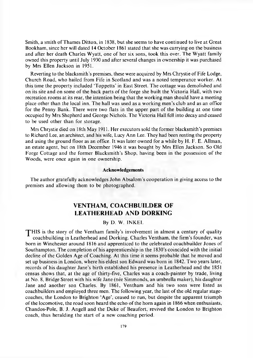Smith, a smith of Thames Ditton, in 1838, but she seems to have continued to live at Great Bookham, since her will dated 14 October 1861 stated that she was carrying on the business and after her death Charles Wyatt, one of her six sons, took this over. The Wyatt family owned this property until July 1930 and after several changes in ownership it was purchased by Mrs Ellen Jackson in 1951.

Reverting to the blacksmith's premises, these were acquired by Mrs Chrystie of Fife Lodge, Church Road, who hailed from Fife in Scotland and was a noted tem perance worker. At this time the property included 'T oppetts' in East Street. The cottage was demolished and on its site and on some of the back parts of the forge she built the Victoria Hall, with two recreation rooms at its rear, the intention being that the working man should have a meeting place other than the local inn. The hall was used as a working men's club and as an office for the Penny Bank. There were two flats in the upper part of the building at one time occupied by Mrs Shepherd and George Nichols. The Victoria Hall fell into decay and ceased to be used other than for storage.

Mrs Chrystie died on 18th May 1911. Her executors sold the former blacksmith's premises to Richard Lee, an architect, and his wife, Lucy Ann Lee. They had been renting the property and using the ground floor as an office. It was later owned for a while by H. F. E. Allman, an estate agent, but on 18th December 1946 it was bought by Mrs Ellen Jackson. So Old Forge Cottage and the former Blacksmith's Shop, having been in the possession of the Woods, were once again in one ownership.

#### **Acknowledgements**

<span id="page-8-0"></span>The author gratefully acknowledges John A bsalom 's cooperation in giving access to the premises and allowing them to be photographed.

# **VENTHAM, COACHBUILDER OF LEATHERHEAD AND DORKING**

#### By D. W. INKEL

THIS is the story of the Ventham family's involvement in almost a century of quality coachbuilding in Leatherhead and Dorking. Charles Ventham, the firm 's founder, was born in Winchester around 1816 and apprenticed to the celebrated coachbuilder Jones of Southampton. The completion of his apprenticeship in the 1830's coincided with the initial decline of the Golden Age of Coaching. At this time it seems probable that he moved and set up business in London, where his eldest son Edward was born in 1842. Two years later, records of his daughter Jane's birth established his presence in Leatherhead and the 1851 census shows that, at the age of thirty-five, Charles was a coach-painter by trade, living at No. 8, Bridge Street with his wife Jane (nee Simmonds, an umbrella maker), his daughter Jane and another son Charles. By 1861, Ventham and his two sons were listed as coachbuilders and employed three men. The following year, the last of the old regular stagecoaches, the London to Brighton 'Age', ceased to run, but despite the apparent triumph of the locomotive, the road soon heard the echo o f the horn again in 1866 when enthusiasts, Chandos-Pole, B. J. Angell and the Duke of Beaufort, revived the London to Brighton coach, thus heralding the start of a new coaching period.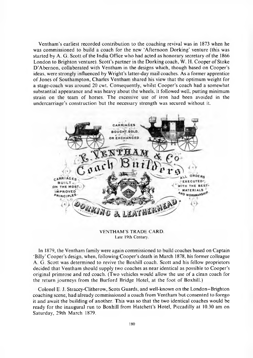V entham 's earliest recorded contribution to the coaching revival was in 1873 when he was commissioned to build a coach for the new 'Afternoon Dorking' venture (this was started by A. G. Scott of the India Office who had acted as honorary secretary of the 1866 London to Brighton venture). Scott's partner in the Dorking coach, W. H. Cooper of Stoke D'Abernon, collaberated with Ventham in the designs which, though based on Cooper's ideas, were strongly influenced by Wright's latter-day mail coaches. As a former apprentice of Jones of Southam pton, Charles Ventham shared his view that the optimum weight for a stage-coach was around 20 cwt. Consequently, whilst Cooper's coach had a somewhat substantial appearance and was heavy about the wheels, it followed well, putting minimum strain on the team of horses. The excessive use of iron had been avoided in the undercarriage's construction but the necessary strength was secured without it.



**VENTHAM'S TRADE CARD.** Late 19th Century.

In 1879, the Ventham family were again commissioned to build coaches based on Captain 'Billy' Cooper's design, when, following Cooper's death in March 1878, his former colleague A. G. Scott was determined to revive the Boxhill coach. Scott and his fellow proprietors decided that Ventham should supply two coaches as near identical as possible to Cooper's original primrose and red coach. (Two vehicles would allow the use of a clean coach for the return journeys from the Burford Bridge Hotel, at the foot of Boxhill.)

Colonel E. J. Stracey-Clitherow, Scots Guards, and well-known on the London-Brighton coaching scene, had already commissioned a coach from Ventham but consented to forego it and await the building of another. This was so that the two identical coaches would be ready for the inaugural run to Boxhill from Hatchett's Hotel, Piccadilly at 10.30 am on Saturday, 29th March 1879.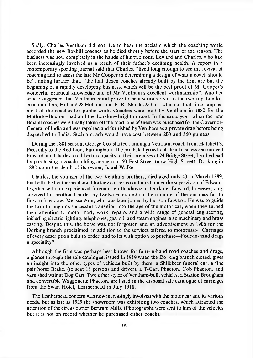Sadly, Charles Ventham did not live to hear the acclaim which the coaching world accorded the new Boxhill coaches as he died shortly before the start of the season. The business was now completely in the hands of his two sons, Edward and Charles, who had been increasingly involved as a result of their father's declining health. A report in a contemporary sporting journal said that Charles, "lived long enough to see the revival of coaching and to assist the late Mr Cooper in determining a design of what a coach should be", noting further that, "the half dozen coaches already built by the firm are but the beginning of a rapidly developing business, which will be the best proof of Mr Cooper's wonderful practical knowledge and of Mr Ventham's excellent workmanship". Another article suggested that Ventham could prove to be a serious rival to the two top London coachbuilders, Holland & Holland and F. R. Shanks & Co., which at that time supplied most of the coaches for public work. Coaches were built by Ventham in 1880 for the Matlock-Buxton road and the London-Brighton road. In the same year, when the new Boxhill coaches were finally taken off the road, one of them was purchased for the Governor-General of India and was repaired and furnished by Ventham as a private drag before being dispatched to India. Such a coach would have cost between 200 and 350 guineas.

During the 1881 season, George Cox started running a Ventham coach from Hatchett's, Piccadilly to the Red Lion, Farningham. The predicted growth of their business encouraged Edward and Charles to add extra capacity to their premises at 24 Bridge Street, Leatherhead by purchasing a coachbuilding concern at 50 East Street (now High Street), Dorking in 1882 upon the death of its owner, Israel Walker.

Charles, the younger of the two Ventham brothers, died aged only 43 in March 1889, but both the Leatherhead and Dorking concerns continued under the supervision of Edward, together with an experienced foreman in attendance at Dorking. Edward, however, only survived his brother Charles by twelve years and so the running of the business fell to Edw ard's widow, Melissa Ann, who was later joined by her son Edward. He was to guide the firm through its successful transition into the age of the motor car, when they turned their attention to motor body work, repairs and a wide range of general engineering, infcluding electric lighting, telephones, gas, oil, and steam engines, also machinery and brass casting. Despite this, the horse was not forgotten and an advertisement in 1906 for the Dorking branch proclaimed, in addition to the services offered to motorists:- "Carriages" of every description built to order, and to let with option to purchase— Four-in-hand drags a speciality".

Although the firm was perhaps best known for four-in-hand road coaches and drags, a glance through the sale catalogue, issued in 1919 when the Dorking branch closed, gives an insight into the other types of vehicles built by them; a Shillibeer funeral car, a fine pair horse Brake, (to seat 18 persons and driver), a T-Cart Phaeton, Cob Phaeton, and varnished walnut Dog Cart. Two other styles of Ventham-built vehicles, a Station Brougham and convertible Waggonette Phaeton, are listed in the disposal sale catalogue of carriages from the Swan Hotel, Leatherhead in July 1918.

The Leatherhead concern was now increasingly involved with the motor car and its various needs, but as late as 1929 the showroom was exhibiting two coaches, which attracted the attention of the circus owner Bertram Mills. (Photographs were sent to him of the vehicles but it is not on record whether he purchased either coach).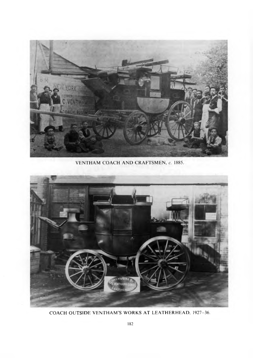

VENTHAM COACH AND CRAFTSMEN, c. 1885.



COACH OUTSIDE VENTHAMS WORKS AT LEATHERHEAD, 1927-36.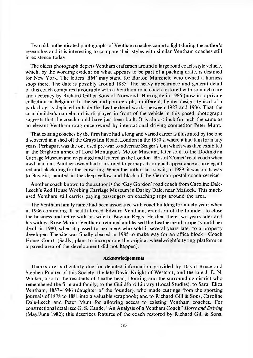Two old, authenticated photographs of Ventham coaches came to light during the author's researches and it is interesting to compare their styles with similar Ventham coaches still in existence today.

The oldest photograph depicts Ventham craftsmen around a large road coach-style vehicle, which, by the wording evident on what appears to be part of a packing crate, is destined for New York. The letters 'BM' may stand for Burton Mansfield who owned a harness shop there. The date is possibly around 1885. The heavy appearance and general detail of this coach compares favourably with a Ventham road coach restored with so much care and accuracy by Richard Gill & Sons of Norwood, Harrogate in 1985 (now in a private collection in Belgium). In the second photograph, a different, lighter design, typical of a park drag, is depicted outside the Leatherhead works between 1927 and 1936. That the coachbuilder's nam eboard is displayed in front of the vehicle in this posed photograph suggests that the coach could have just been built. It is almost inch for inch the same as an elegant Ventham drag once owned by international driving competitor Peter Munt.

That existing coaches by the firm have had a long and varied career is illustrated by the one discovered in a shed off the Grays Inn Road, London in the 1950's, where it had lain for many years. Perhaps it was the one used pre-war to advertise Seager's Gin which was then exhibited in the Brighton annex of Lord Montague's Motor Museum, later sold to the Dodington Carriage Museum and re-painted and lettered as the London-Bristol 'Comet' road coach when used in a film. Another owner had it restored to perhaps its original appearance as an elegant red and black drag for the show ring. When the author last saw it, in 1989, it was on its way to Bavaria, painted in the deep yellow and black of the German postal coach service!

Another coach known to the author is the 'Gay Gordon' road coach from Caroline Dale-Leech's Red House Working Carriage Museum in Darley Dale, near Matlock. This muchused Ventham still carries paying passengers on coaching trips around the area.

The Ventham family name had been associated with coachbuilding for ninety years when in 1936 continuing ill-health forced Edward Ventham, grandson of the founder, to close the business and retire with his wife to Bognor Regis. He died there two years later and his widow, Rose Marian Ventham, retained and leased the Leatherhead property until her death in 1980, when it passed to her niece who sold it several years later to a property developer. The site was finally cleared in 1985 to make way for an office block—Coach House Court. (Sadly, plans to incorporate the original wheelwright's tyring platform in a paved area of the development did not happen).

#### **Acknowledgements**

Thanks are particularly due for detailed information provided by David Bruce and Stephen Poulter of this Society, the late David Knight of Westcott, and the late J. E. N. Walker; also to the residents of Leatherhead, Dorking and the surrounding district who remembered the firm and family; to the Guildford Library (Local Studies); to Sara, Eliza Ventham,  $1857-1946$  (daughter of the founder), who made cuttings from the sporting journals of 1878 to 1881 into a valuable scrapbook; and to Richard Gill  $\&$  Sons, Caroline Dale-Leech and Peter Munt for allowing access to existing Ventham coaches. For constructional detail see G. S. Cantle, "An Analysis of a Ventham C oach" *Horse and Driving* (May/June 1982); this describes features of the coach restored by Richard Gill & Sons.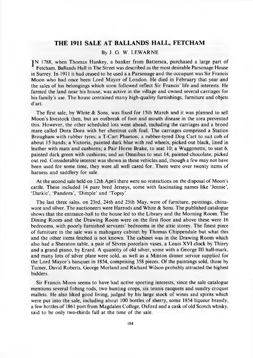### **THE 1911 SALE AT BALLANDS HALL, FETCHAM**

## By J. G. W. LEWARNE

IN 1788, when Thomas Hankey, a banker from Battersea, purchased a large part of Fetcham , Ballands Hall in The Street was described as the most desirable Parsonage House in Surrey. In 1911 it had ceased to be used a a Parsonage an d the occupant was Sir Francis Moon who had once been Lord Mayor of London. He died in February that year and the sales of his belongings which soon followed reflect Sir Francis' life and interests. He farmed the land near his house, was active in the village and owned several carriages for his family's use. The house contained many high-quality furnishings, furniture and objets d 'art.

The first sale, by White & Sons, was fixed for 15th March and it was planned to sell Moon's livestock then, but an outbreak of foot and mouth disease in the area prevented this. However, the other scheduled lots went ahead, including the carriages and a brood mare called Dora Dora with her chestnut colt foal. The carriages comprised a Station Brougham with rubber tyres; a T-Cart Phaeton; a rubber-tyred Dog Cart to suit cob of about 15 hands; a Victoria, painted dark blue with red wheels, picked out black, lined in leather with mats and cushions; a Pair Horse Brake, to seat  $10$ ; a Waggonette, to seat 6, painted dark green with cushions; and an Omnibus to seat 14, painted chocolate, picked out red. Considerable interest was shown in these vehicles and, though a few may not have been used for some time, they were all well cared for. There were over twenty items of harness and saddlery for sale.

At the second sale held on 12th April there were no restrictions on the disposal of Moon's cattle. These included 14 pure bred Jerseys, some with fascinating names like 'Jennie', 'Darkie', 'Pandora', 'Dimple' and 'Topsy'.

The last three sales, on 23rd, 24th and 25th May, were of furniture, paintings, chinaware and silver. The auctioneers were Harrods and White  $\&$  Sons. The published catalogue shows that the entrance-hall to the house led to the Library and the Morning Room. The Dining Room and the Drawing Room were on the first floor and above these were 16 bedrooms, with poorly furnished servants' bedrooms in the attic storey. The finest piece of furniture in the sale was a mahogany cabinet by Thomas Chippendale but what this and the other items fetched is not known. The cabinet was in the Drawing Room which also had a Sheraton table, a pair of Sevres porcelain vases, a Louis XVI clock by Thiery and a grand piano, by Erard. A quantity of old silver, some with a George III hall-mark, and many lots of silver plate were sold, as well as a Minton dinner service supplied for the Lord Mayor's banquet in 1854, comprising 358 pieces. Of the paintings sold, those by Turner, David Roberts, George Morland and Richard Wilson probably attracted the highest bidders.

Sir Francis Moon seems to have had active sporting interests, since the sale catalogue mentions several fishing rods, two hunting crops, six tennis racquets and sundry croquet mallets. He also liked good living, judged by his large stock of wines and spirits which were put into the sale, including about  $100$  bottles of sherry, some  $1854$  liqueur brandy, a few bottles of 1861 port from Magdalen College, Oxford and a cask of old Scotch whisky, said to be only two-thirds full at the time of the sale.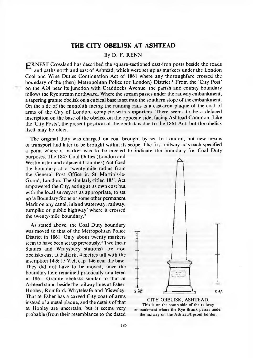## **THE CITY OBELISK AT ASHTEAD**

#### By D. F. RENN

| h RNEST Crossland has described the square-sectioned cast-iron posts beside the roads and paths north and east of Ashtead, which were set up as markers under the London Coal and Wine Duties Continuation Act of 1861 where any thoroughfare crossed the boundary of the (then) Metropolitan Police (or London) District.<sup>1</sup> From the 'City Post' on the A24 near its junction with Craddocks Avenue, the parish and county boundary follows the Rye stream northward. Where the stream passes under the railway embankment, a tapering granite obelisk on a cubical base is set into the southern slope of the embankment. On the side of the monolith facing the running rails is a cast-iron plaque of the coat of arms of the City of London, complete with supporters. There seems to be a defaced inscription on the base of the obelisk on the opposite side, facing A shtead Common. Like the 'City Posts', the present position of the obelisk is due to the 1861 Act, but the obelisk itself may be older.

The original duty was charged on coal brought by sea to London, but new means of transport had later to be brought within its scope. The first railway acts each specified a point where a marker was to be erected to indicate the boundary for Coal Duty

purposes. The 1845 Coal Duties (London and Westminster and adjacent Counties) Act fixed the boundary at a twenty-mile radius from the General Post Office in St Martin's-le-Grand, London. The similarly-titled 1851 Act empowered the City, acting at its own cost but with the local surveyors as appropriate, to set up 'a Boundary Stone or some other permanent Mark on any canal, inland waterway, railway, turnpike or public highway' where it crossed the twenty-mile boundary.<sup>2</sup>

As stated above, the Coal Duty boundary was moved to that of the Metropolitan Police District in 1861. Only about twenty markers seem to have been set up previously.<sup>3</sup> Two (near Staines and Wraysbury stations) are iron obelisks cast at Falkirk, 4 metres tall with the inscription 14 & 15 Viet, cap. 146 near the base. They did not have to be moved, since the boundary here remained practically unaltered in 1861. Granite obelisks similar to that at Ashtead stand beside the railway lines at Esher, Hooley, Romford, Whyteleafe and Yiewsley.  $6\frac{1}{2}$  .  $\frac{1}{2}$  .  $\frac{1}{2}$  .  $\frac{1}{2}$  .  $\frac{1}{2}$  .  $\frac{1}{2}$  .  $\frac{1}{2}$  .  $\frac{1}{2}$  .  $\frac{1}{2}$  .  $\frac{1}{2}$  .  $\frac{1}{2}$  .  $\frac{1}{2}$  .  $\frac{1}{2}$  .  $\frac{1}{2}$  .  $\frac{1}{2}$  . That at Esher has a carved City coat of arms <br>tracted as a metal planus and the details of that CITY OBELISK, ASHTEAD. **a** *i* r **a**<sup>*x*</sup> *a a*<sup>*n*</sup> *a* metal plaque, and the details of that *a x* **i** *n*<sub>is</sub> is on the south side of the railway at Hooley are uncertain, but it seems very embankment where the Rye Brook passes under probable (from their resemblance to the dated the railway on the Ashtead/Epsom border.

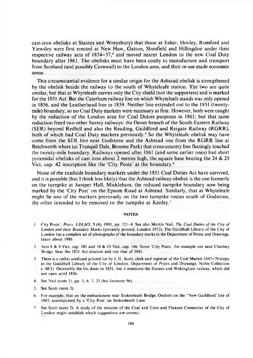cast-iron obelisks at Staines and Wraysbury) that those at Esher, Hooley, Romford and Yiewsley were first erected at New Haw, Gatton, Shenfield and Hillingdon under their respective railway acts of 1834-37,<sup>4</sup> and moved nearer London to the new Coal Duty boundary after 1861. The obelisks must have been costly to manufacture and transport from Scotland (and possibly Cornwall) to the London area, and their re-use made economic sense.

This circum stantial evidence for a similar origin for the Ashtead obelisk is strengthened by the obelisk beside the railway to the south of Whyteleafe station. The two are quite similar, but that at Whyteleafe carries only the City shield (not the supporters) and is marked for the 1851 Act. But the Caterham railway line on which Whyteleafe stands was only opened in 1856, and the Leatherhead line in 1859. Neither line extended out to the 1851 (twentymile) boundary, so no Coal Duty markers were necessary at first. However, both were caught by the reduction of the London area for Coal Duties purposes in 1861; but that same reduction freed two other Surrey railways: the Dover branch of the South-Eastern Railway (SER) beyond Redhill and also the Reading, Guildford and Reigate Railway (RGRR), both of which had Coal Duty markers previously.<sup>5</sup> So the Whyteleafe obelisk may have come from the SER line near Godstone and the Ashtead one from the RGRR line at Betchworth where (at Tranquil Dale, Broome Park) that cross-country line fleetingly touched the twenty-mile boundary. Railways opened after 1861 (and some earlier ones) had short pyramidal obelisks of cast iron about 2 metres high, the square base bearing the 24  $\&$  25 Viet, cap. 42 inscription like the 'City Posts' at the boundary.6

None of the roadside boundary markers under the 1851 Coal Duties Act have survived, and it is possible (but I think less likely) that the Ashtead railway obelisk is the one formerly on the turnpike at Juniper Hall, Mickleham, the reduced turnpike boundary now being marked by the 'City Post' on the Epsom Road at Ashtead. Similarly, that at Whyteleafe might be one of the markers previously on the two turnpike routes south of Godstone, the other intended to be removed to the turnpike at Kenley.<sup>7</sup>

#### **NOTES**

- 1. City Posts'. Procs. LDLHS, 5 (4), 1991, pp. 121-4. See also Martin Nail, *The Coal Duties of the City of London and their Boundary M arks* (privately printed, London 1972). The Guildhall Library of the City of London has a complete set of photographs of the boundary marks in the Department of Prints and Drawings, taken about 1986.
- 2. Acts 8 & 9 Viet, cap. 101 and 14 & 15 Viet, cap. 146. Some 'City Posts', for example one near Chertsey Bridge, bear the 1851 Act citation and not that of 1861.
- 3. There is a rather confused printed list by J. H. Scott, clerk and registrar of the Coal Market 1847-70 (copy in the Guildhall Library of the City of London, Department of Prints and Drawings, Noble Collection c. 68/1). Ostensibly the list dates to 1851, but it mentions the Staines and Wokingham railway, which did not open until 1856.
- 4. See Nail (note 1), pp. 3, 6, 7, 25 (his footnote 96).
- 5. See Scott (note 3).
- 6. For example, that on the embankment near Stokesheath Bridge, Oxshott on the "New Guildford' line of 1885, accompanied by a 'City Post' on Stokesheath Lane.
- 7. See Scott (note 3). A study of the minutes of the Coal and Corn and Finance Committee of the City of London might establish which suggestions are correct.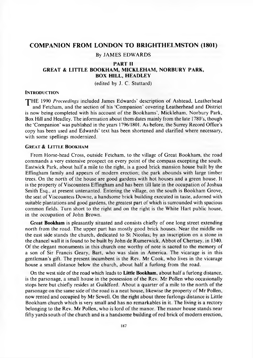#### **COMPANION FROM LONDON TO BRIGHTHELMSTON (1801)**

#### By JAMES EDWARDS

#### **PART II**

#### **GREAT & LITTLE BOOKHAM, MICKLEHAM, NORBURY PARK, BOX HILL, HEADLEY**

(edited by J. C. Stuttard)

#### **INTRODUCTION**

THE 1990 *Proceedings* included James Edwards' description of Ashtead, Leatherhead and Fetcham, and the section of his 'Companion' covering Leatherhead and District is now being completed with his account of the Bookhams', Mickleham, Norbury Park, Box Hill and Headley. The information about them dates mainly from the late 1780's, though the 'C om panion' was published in the years 1796/1801. As before, the Surrey Record Office's copy has been used and Edwards' text has been shortened and clarified where necessary, with some spellings modernized.

#### **GREAT & LITTLE BOOKHAM**

From Horse-head Cross, outside Fetcham, to the village of Great Bookham, the road commands a very extensive prospect on every point of the compass excepting the south. Eastwick Park, about half a mile to the right, is a good brick mansion house built by the Effingham family and appears of modern erection; the park abounds with large timber trees. On the north of the house are good gardens with hot houses and a green house. It is the property of Viscountess Effingham and has been till late in the occupation of Joshua Smith Esq., at present untenanted. Entering the village, on the south is Bookham Grove, the seat of Viscountess Downe, a handsome brick building executed in taste, adorned with suitable plantations and good gardens, the greatest part of which is surrounded with spacious common fields. Turn short to the right and on the right is the White Hart public house, in the occupation of John Brown.

**Great Bookham** is pleasantly situated and consists chiefly of one long street extending north from the road. The upper part has mostly good brick houses. Near the middle on the east side stands the church, dedicated to St Nicolas; by an inscription on a stone in the chancel wall it is found to be built by John de Rumerwick, Abbot of Chertsey, in 1340. Of the elegant monuments in this church one worthy of note is sacred to the memory of a son of Sir Francis Geary, Bart, who was slain in America. The vicarage is in this gentleman's gift. The present incumbent is the Rev. Mr Cook, who lives in the vicarage house a small distance below the church, about half a furlong from the road.

On the west side of the road which leads to **Little Bookham**, about half a furlong distance, is the parsonage, a small house in the possession of the Rev. Mr Pollen who occasionally stops here but chiefly resides at Guildford. About a quarter of a mile to the north of the parsonage on the same side of the road is a neat house, likewise the property of Mr Pollen, now rented and occupied by Mr Sewell. On the right about three furlongs distance is Little Bookham church which is very small and has no remarkables in it. The living is a rectory belonging to the Rev. Mr Pollen, who is lord of the manor. The manor house stands near fifty yards south of the church and is a handsome building of red brick of modern erection,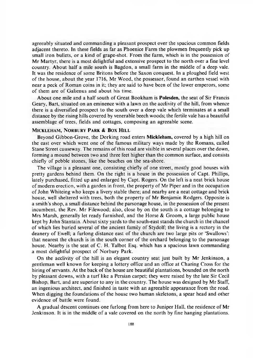agreeably situated and commanding a pleasant prospect over the spacious common fields adjacent thereto. In these fields as far as Phoenice Farm the plowmen frequently pick up small iron bullets, or a kind of grape-shot. From the farm, which is in the possession of Mr Martyr, there is a most delightful and extensive prospect to the north over a fine level country. A bout half a mile south is Bagdon, a small farm in the middle of a deep vale. It was the residence of some Britons before the Saxon conquest. In a ploughed field west of the house, about the year 1716, Mr Wood, the possessor, found an earthen vessel with near a peck of Roman coins in it; they are said to have been of the lower emperors, some of them are of Galienus and about his time.

About one mile and a half south of Great Bookham is **Polesden**, the seat of Sir Francis Geary, Bart, situated on an eminence with a lawn on the acclivity of the hill, from whence there is a diversified prospect to the south over a deep vale which terminates at a small distance by the rising hills covered by venerable beech woods; the fertile vale has a beautiful assemblage of trees, fields and cottages, composing an agreeable scene.

#### MICKLEHAM, NORBURY PARK & BOX HILL

Beyond Gibbon-Grove, the Dorking road enters Mickleham, covered by a high hill on the east over which went one of the famous military ways made by the Romans, called Stane Street causeway. The remains of this road are visible in several places over the down, forming a mound between two and three feet higher than the common surface, and consists chiefly of pebble stones, like the beaches on the sea-shore.

The village is a pleasant one, consisting chiefly of one street, mostly good houses with pretty gardens behind them. On the right is a house in the possession of Capt. Phillips, lately purchased, fitted up and enlarged by Capt. Rogers. On the left is a neat brick house of modern erection, with a garden in front, the property of Mr Piper and in the occupation o f John W hiteing who keeps a livery stable there; and nearby are a neat cottage and brick house, well sheltered with trees, both the property of Mr Benjamin Rodgers. Opposite is a sm ith's shop, a small distance behind the parsonage house, in the possession of the present incumbent, the Rev. Mr Filewood; also, close by on the south is a cottage belonging to Mrs Marsh, generally let ready furnished, and the Horse  $\&$  Groom, a large public house kept by John Stantain. A bout sixty yards to the south-east stands the church in the chancel of which lies buried several of the ancient family of Stydolf; the living is a rectory in the deanery of Ewell; a furlong distance east of the church are two large pits or 'Swallows': that nearest the church is in the south corner of the orchard belonging to the parsonage house. Nearby is the seat of C. H. Talbot Esq. which has a spacious lawn commanding a most delightful prospect of Norbury Park.

On the acclivity of the hill is an elegant country seat just built by Mr Jenkinson, a gentleman well known for keeping a lottery office and an office at Charing Cross for the hiring of servants. At the back of the house are beautiful plantations, bounded on the north by pleasant downs, with a turf like a Persian carpet; they were raised by the late Sir Cecil Bishop, Bart, and are superior to any in the country. The house was designed by Mr Staff, an ingenious architect, and finished in taste with an agreeable appearance from the road. When digging the foundations of the house two human skeletons, a spear head and other evidence of battle were found.

A gradual descent continues one furlong from here to Juniper Hall, the residence of Mr Jenkinson. It is in the middle of a vale covered on the north by fine hanging plantations.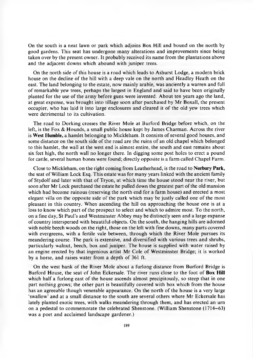On the south is a neat lawn or park which adjoins Box Hill and bound on the north by good gardens. This seat has undergone many alterations and improvements since being taken over by the present owner. It probably received its name from the plantations above and the adjacent downs which abound with juniper trees.

On the north side of this house is a road which leads to Ashurst Lodge, a modern brick house on the decline of the hill with a deep vale on the north and Headley Heath on the east. The land belonging to the estate, now mainly arable, was anciently a warren and full of rem arkable yew trees, perhaps the largest in England and said to have been originally planted for the use of the army before guns were invented. A bout ten years ago the land, at great expense, was brought into tillage soon after purchased by Mr Boxall, the present occupier, who has laid it into large enclosures and cleared it of the old yew trees which were detrimental to its cultivation.

The road to Dorking crosses the River Mole at Burford Bridge before which, on the left, is the Fox  $\&$  Hounds, a small public house kept by James Charman. Across the river is **West Humble,** a hamlet belonging to Mickleham. It consists of several good houses, and some distance on the south side of the road are the ruins of an old chapel which belonged to this hamlet, the wall at the west end is alm ost entire, the south and east remains about six feet high, the north wall no longer there. In digging some post holes to erect a pound for cattle, several human bones were found; directly opposite is a farm called Chapel Farm.

Close to Mickleham, on the right coming from Leatherhead, is the road to **Norbury Park,** the seat of William Lock Esq. This estate was for many years linked with the ancient family of Stydolf and later with that of Tryon, at which time the house stood near the river, but soon after Mr Lock purchased the estate he pulled down the greatest part of the old mansion which had become ruinous (reserving the north end for a farm house) and erected a most elegant villa on the opposite side of the park which may be justly called one of the most pleasant in this country. W hen ascending the hill on approaching the house one is at a loss to know which part of the prospect to select and which to admire most. To the north, on a fine day, St Paul's and Westminster Abbey may be distinctly seen and a large expanse of country interspersed with beautiful objects. On the south, the hanging hills are adorned with noble beech woods on the right, those on the left with fine downs, many parts covered with evergreens, with a fertile vale between, through which the River Mole pursues its meandering course. The park is extensive, and diversified with various trees and shrubs, particularly walnut, beech, box and juniper. The house is supplied with water raised by an engine erected by that ingenious artist Mr Cole of Westminster Bridge; it is worked by a horse, and raises water from a depth of 361 ft.

On the west bank of the River Mole about a furlong distance from Burford Bridge is Burford House, the seat of John Eckersale. The river runs close to the foot of Box Hill which half a furlong east of the house ascends almost precipitously, so steep that in one part nothing grows; the other part is beautifully covered with box which from the house has an agreeable though venerable appearance. On the north of the house is a very large 'swallow' and at a small distance to the south are several others where Mr Eckersale has lately planted exotic trees, with walks meandering through them, and has erected an urn on a pedestal to commemorate the celebrated Shenstone. (William Shenstone  $(1714-63)$ ) was a poet and acclaimed landscape gardener.)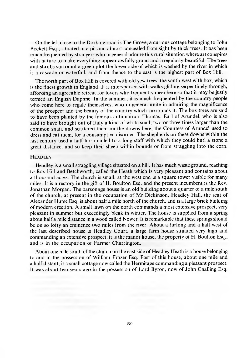On the left close to the Dorking road is The Grove, a curious cottage belonging to John Bockett Esq., situated in a pit and almost concealed from sight by thick trees. It has been much frequented by strangers who in general admire this rural situation where art conspires with nature to make everything appear awfully grand and irregularly beautiful. The trees and shrubs surround a green plot the lower side of which is washed by the river in which is a cascade or waterfall, and from thence to the east is the highest part of Box Hill.

The north part of Box Hill is covered with old yew trees, the south-west with box, which is the finest growth in England. It is interspersed with walks gliding serpentinely through, affording an agreeable retreat for lovers who frequently meet here so that it may be justly termed an English Daphne. In the summer, it is much frequented by the country people who come here to regale themselves, who in general unite in admiring the magnificence of the prospect and the beauty of the country which surrounds it. The box trees are said to have been planted by the fam ous antiquarian, Thom as, Earl of Arundel, who is also said to have brought out of Italy a kind of white snail, two or three times larger than the common snail, and scattered them on the downs here; the Countess of Arundel used to dress and eat them, for a consumptive disorder. The shepherds on these downs within the last century used a half-horn nailed to a long staff with which they could hurl a stone a great distance, and so keep their sheep within bounds or from straggling into the corn.

#### **HEADLEY**

Headley is a small straggling village situated on a hill. It has much waste ground, reaching to Box Hill and Betchworth, called the Heath which is very pleasant and contains about a thousand acres. The church is small, at the west end is a square tower visible for many miles. It is a rectory in the gift of H. Boulton Esq. and the present incumbent is the Rev. Jonathan Morgan. The parsonage house is an old building about a quarter of a mile south of the church, at present in the occupation of Mr Dickinson. Headley Hall, the seat of Alexander Hume Esq. is about half a mile north of the church, and is a large brick building of modern erection. A small lawn on the north comm ands a most extensive prospect, very pleasant in summer but exceedingly bleak in winter. The house is supplied from a spring about half a mile distance in a wood called Nower. It is remarkable that these springs should be on so lofty an eminence two miles from the river. A bout a furlong and a half west of the last described house is Headley Court, a large farm house situated very high and commanding an extensive prospect; it is the manor house, the property of H. Boulton Esq., and is in the occupation of Farmer Charrington.

About one mile south of the church on the east side of Headley Heath is a house belonging to and in the possession of William Frazer Esq. East of this house, about one mile and a half distant, is a small cottage now called the Hermitage comm anding a pleasant prospect. It was about two years ago in the possession of Lord Byron, now of John Challing Esq.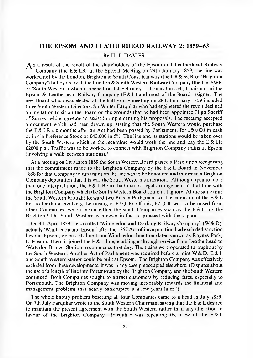#### **THE EPSOM AND LEATHERHEAD RAILWAY 2: 1859-63**

#### By H. J. DAVIES

AS a result of the revolt of the shareholders of the Epsom and Leatherhead Railway Company (the E & LR) at the Special Meeting on 29th January 1859, the line was worked not by the London, Brighton & South Coast Railway (the LB & SCR or 'Brighton Company') but by its rival, the London & South Western Railway Company (the  $L \& SWR$ or 'South Western') when it opened on 1st February.<sup>1</sup> Thomas Grissell, Chairman of the Epsom & Leatherhead Railway Company  $(E & L)$  and most of the Board resigned. The new Board which was elected at the half yearly meeting on 28th February 1859 included three South Western Directors. Sir Walter Farquhar who had engineered the revolt declined an invitation to sit on the Board on the grounds that he had been appointed High Sheriff of Surrey, while agreeing to assist in implementing his proposals. The meeting accepted a document which had been drawn up, stating that the South Western would purchase the E & LR six months after an Act had been passed by Parliament, for £50,000 in cash or in 4% Preference Stock or £40,000 in 5%. The line and its stations w ould be taken over by the South Western which in the meantime would work the line and pay the  $E & LR$  $£2000 p.a.,$  Traffic was to be worked to connect with Brighton Company trains at Epsom (involving a walk between stations). $<sup>2</sup>$ </sup>

At a meeting on 1st March 1859 the South Western Board passed a Resolution recognising that the commitment made to the Brighton Company by the  $E & L$  Board in November 1858 for that Company to run trains on the line was to be honoured and informed a Brighton Company deputation that this was the South Western's intention.<sup>3</sup> Although open to more than one interpretation, the E & L Board had made a legal arrangement at that time with the Brighton Company which the South Western Board could not ignore. At the same time the South Western brought forward two Bills in Parliament for the extension of the E  $& L$ line to Dorking involving the raising of £75,000. Of this, £25,000 was to be raised from other Companies, which meant either the small Companies such as the  $E & L$ , or the Brighton.<sup>4</sup> The South Western was never in fact to proceed with these plans.

On 4th April 1859 the so called 'Wimbledon and Dorking Railway Company',  $(W & D)$ , actually 'Wimbledon and Epsom' after the 1857 Act of incorporation had excluded sanction beyond Epsom, opened its line from W imbledon Junction (later known as Raynes Park) to Epsom. There it joined the E & L line, enabling a through service from Leatherhead to 'W aterloo Bridge' Station to commence that day. The trains were operated throughout by the South Western. Another Act of Parliament was required before a joint W & D, E & L and South Western station could be built at Epsom.<sup>5</sup> The Brighton Company was effectively excluded from these developments; it was in any case preoccupied elsewhere. (Disputes about the use of a length of line into Portsmouth by the Brighton Company and the South Western continued. Both Companies sought to attract customers by reducing fares, especially to Portsmouth. The Brighton Company was moving inexorably towards the financial and management problems that nearly bankrupted it a few years later.<sup>6</sup>)

The whole knotty problem besetting all four Companies came to a head in July 1859. On 7th July Farquhar wrote to the South Western Chairman, saying that the E & L desired to maintain the present agreement with the South Western rather than any alteration in favour of the Brighton Company.' Farquhar was repeating the view of the  $E & L$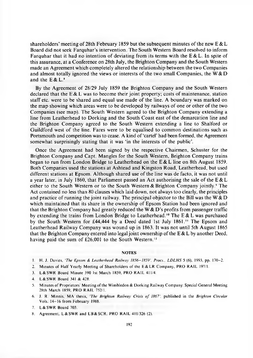shareholders' meeting of 28th February 1859 but the subsequent minutes of the new  $E & L$ Board did not seek Farquhar's intervention. The South Western Board resolved to inform Farquetian that it had no intention of deviating from its terms with the E & L. In spite of this assurance, at a Conference on 28th July, the Brighton Company and the South Western made an Agreement which completely altered the relationship between the two Companies and almost totally ignored the views or interests of the two small Companies, the  $W & D$ and the  $E & L$ .<sup>8</sup>

By the Agreement of 28/29 July 1859 the Brighton Company and the South Western declared that the  $E \& L$  was to become their joint property; costs of maintenance, station staff etc. were to be shared and equal use m ade of the line. A boundary was marked on the map showing which areas were to be developed by railways of one or other of the two Companies (see map). The South Western agreed to the Brighton Company extending a line from Leatherhead to Dorking and the South Coast east of the demarcation line and the Brighton Company agreed to the South Western extending a line to Shalford or Guildford west of the line. Fares were to be equalised to common destinations such as Portsmouth and competition was to cease. A kind of 'cartel' had been formed, the Agreement somewhat surprisingly stating that it was 'in the interests of the public'.

Once the Agreement had been signed by the respective Chairmen, Schuster for the Brighton Company and Capt. Mangles for the South Western, Brighton Company trains began to run from London Bridge to Leatherhead on the E & L line on 8th August 1859. Both Companies used the stations at Ashtead and Kingston Road, Leatherhead, but used different stations at Epsom. Although shared use of the line was de facto, it was not until a year later, in July 1860, that Parliament passed an Act authorising the sale of the  $E & L$ either to the South Western or to the South Western & Brighton Company jointly.<sup>9</sup> The Act contained no less than 80 clauses which laid down, not always too clearly, the principles and practice of running the joint railway. The principal objector to the Bill was the W  $& D$ which maintained that its share in the ownership of Epsom Station had been ignored and that the Brighton Company had greatly reduced the W  $&D$ 's profits from passenger traffic by extending the trains from London Bridge to Leatherhead.<sup>10</sup> The E & L was purchased by the South Western for £44,444 by a Deed dated 1st July  $1861$ .<sup>11</sup> The Epsom and Leatherhead Railway Company was wound up in 1863. It was not until 5th August 1865 that the Brighton Company entered into legal joint ownership of the  $E & L$  by another Deed, having paid the sum of  $£26,001$  to the South Western.<sup>12</sup>

#### NOTES

- 1. H. J. Davies, 'The Epsom & Leatherhead Railway 1856-1859', Procs., LDLHS 5 (6), 1993, pp. 170-2.
- 2. Minutes of Half Yearly Meeting of Shareholders of the E&LR Company, PRO RAIL 197/1.
- 3. L & SWR Board Minute 390 1st March 1859, PRO RAIL 411/4.
- 4. L & SWR Board 341 & 428.
- 5. Minutes of Proprietors' Meeting of the Wimbledon & Dorking Railway Company: Special General Meeting 28th March 1859, PRO RAIL 752/1.
- 6. J. R. Minnis, MA thesis. *The Brighton Railway Crisis o f 1867',* published in the *Brighton Circular* Vols. 14-16 from February 1988.
- 7. L & SWR Board 703.
- 8. Agreement, L & SWR and LB & SCR, PRO RAIL 411/326 (2).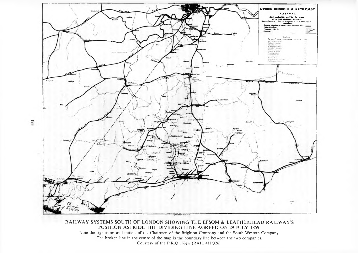

RAILWAY SYSTEMS SOUTH OF LONDON SHOWING THE EPSOM & LEATHERHEAD RAILWAY'S POSITION ASTRIDE THE DIVIDING LINE AGREED ON 29 JULY 1859. Note the signatures and initials of the Chairmen of the Brighton Company and the South Western Company. The broken line in the centre of the map is the boundary line between the two companies. Courtesy of the P.R.O., Kew (RAIL 411/326).

193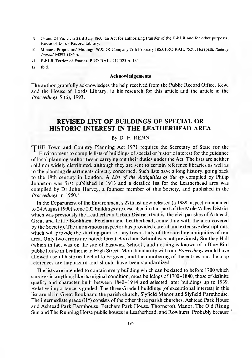- 9. 23 and 24 Vic clviii 23rd July 1860: an Act for authorising transfer of the E & LR and for other purposes, House of Lords Record Library.
- 10. Minutes, Proprietors' Meetings, W & DR Company 29th February 1860, PRO RAIL 752/1; Herapath, *Railway Journal* M292 (1860).
- 11. E & LR Terrier of Estates, PRO RAIL 414/525 p. 134.
- 12. Ibid.

#### **Acknowledgements**

The author gratefully acknowledges the help received from the Public Record Office, Kew, and the House of Lords Library, in his research for this article and the article in the *Proceedings* 5 (6), 1993.

# **REVISED LIST OF BUILDINGS OF SPECIAL OR HISTORIC INTEREST IN THE LEATHERHEAD AREA**

#### By D. F. RENN

THE Town and Country Planning Act 1971 requires the Secretary of State for the Environm ent to compile lists of buildings of special or historic interest for the guidance of local planning authorities in carrying out their duties under the Act. The lists are neither sold nor widely distributed, although they are sent to certain reference libraries as well as to the planning departments directly concerned. Such lists have a long history, going back to the 19th century in London. A *List of the Antiquities of Surrey* compiled by Philip Johnston was first published in 1913 and a detailed list for the Leatherhead area was compiled by Dr John Harvey, a founder member of this Society, and published in the *Proceedings* in 1950.<sup>1</sup>

In the Department of the Environment's 27th list now released (a 1988 inspection updated to 24 A ugust 1990) some 202 buildings are described in that part of the Mole Valley District which was previously the Leatherhead Urban District (that is, the civil parishes of Ashtead, Great and Little Bookham, Fetcham and Leatherhead, coinciding with the area covered by the Society). The anonymous inspector has provided careful and extensive descriptions, which will provide the starting-point of any fresh study of the standing antiquities of our area. Only two errors are noted: Great Bookham School was not previously Southey Hall (which in fact was on the site of Eastwick School), and nothing is known of a Blue Bird public house in Leatherhead High Street. More familiarity with our *Proceedings* would have allowed useful historical detail to be given, and the num bering of the entries and the map references are haphazard and should have been standardized.

The lists are intended to contain every building which can be dated to before 1700 which survives in anything like its original condition, most buildings of 1700-1840, those of definite quality and character built between 1840-1914 and selected later buildings up to 1939. Relative importance is graded. The three Grade I buildings (of exceptional interest) in this list are all in Great Bookham: the parish church, Slyfield Manor and Slyfield Farmhouse. The intermediate grade  $(II^*)$  consists of the other three parish churches, Ashtead Park House and Ashtead Park Farmhouse, Fetcham Park House, Thorncroft Manor, The Old Rising Sun and The Running Horse public houses in Leatherhead, and Rowhurst. Probably because 1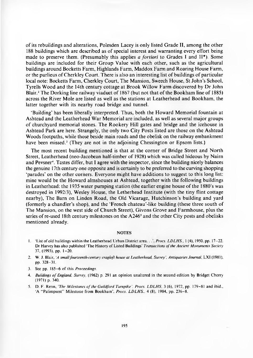of its rebuildings and alterations, Polesden Lacey is only listed Grade II, among the other 188 buildings which are described as of special interest and warranting every effort being made to preserve them. (Presumably this applies *a fortiori* to Grades I and II<sup>\*</sup>). Some buildings are included for their Group Value with each other, such as the agricultural buildings around Bocketts Farm, Highlands Farm, M addox Farm and Roaring House Farm, or the purlieus of Cherkley Court. There is also an interesting list of buildings of particular local note: Bocketts Farm, Cherkley Court, The Mansion, Sweech House, St John's School, Tyrells Wood and the 14th century cottage at Brook Willow Farm discovered by Dr John Blair.<sup>2</sup> The Dorking line railway viaduct of  $1867$  (but not that of the Bookham line of  $1885$ ) across the River Mole are listed as well as the stations at Leatherhead and Bookham, the latter together with its nearby road bridge and tunnel.

'Building' has been liberally interpreted. Thus, both the Howard Memorial fountain at Ashtead and the Leatherhead War Memorial are included, as well as several major groups of churchyard memorial stones. The R ookery Hill gates and bridge and the icehouse in Ashtead Park are here. Strangely, the only two City Posts listed are those on the Ashtead Woods footpaths, while those beside main roads and the obelisk on the railway embankment have been missed.<sup>3</sup> (They are not in the adjoining Chessington or Epsom lists.)

The most recent building mentioned is that at the corner of Bridge Street and North Street, Leatherhead (neo-Jacobean half-timber of 1928) which was called hideous by Nairn and Pevsner<sup>4</sup>. Tastes differ, but I agree with the inspector, since the building nicely balances the genuine 17th century one opposite and is certainly to be preferred to the curving shopping 'parades' on the other corners. Everyone might have additions to suggest to this long list: mine would be the Howard almshouses at Ashtead, together with the following buildings in Leatherhead: the 1935 water pumping station (the earlier engine house of the 1880's was destroyed in 1992/3), Wesley House, the Letherhead Institute (with the tiny flint cottage nearby), The Barn on Linden Road, the Old Vicarage, Hutchinson's building and yard (formerly a chandler's shop), and the 'French chateau'-like building (these three south of The Mansion, on the west side of Church Street), Givons Grove and Farmhouse, plus the series of re-used 18th century milestones on the A246<sup>5</sup> and the other City posts and obelisks mentioned already.

#### **NOTES**

- 1. 'List of old buildings within the Leatherhead U rban District area. . . *Procs. L D L H S.,* 1 (4), 1950, pp. 17-22. Dr Harvey has also published 'The History of Listed Buildings' *Transactions of the Ancient Monuments Society* 37, (1993), pp. 1-20.
- 2. W. J. Blair, *'A small fourteenth-century cragloft house at Leatherhead, Surrey', Antiquaries Journal,* LXI (1981), pp. 328-31.
- 3. See pp. 185-6 of this *Proceedings.*
- 4. *Buildings o f England, Surrey,* (1962) p. 291 an opinion unaltered in the second edition by Bridget Cherry (1971) p. 340.
- 5. D. F. Renn, *The Milestones of the Guildford Turnpike', Procs. LDLHS*, 3 (6), 1972, pp. 179-81 and ibid., 'A "Palimpsest" Milestone from Bookham', *Procs. LDLHS.*, 4 (8), 1984, pp. 236-8.